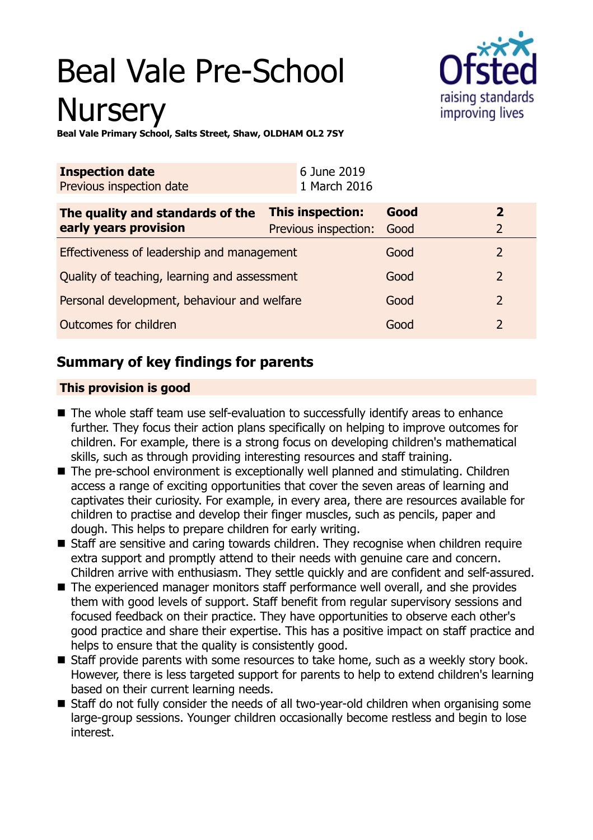# Beal Vale Pre-School **Nursery**



**Beal Vale Primary School, Salts Street, Shaw, OLDHAM OL2 7SY**

| <b>Inspection date</b><br>Previous inspection date | 6 June 2019<br>1 March 2016 |      |                |
|----------------------------------------------------|-----------------------------|------|----------------|
| The quality and standards of the                   | This inspection:            | Good | $\mathbf{2}$   |
| early years provision                              | Previous inspection:        | Good | 2              |
| Effectiveness of leadership and management         |                             | Good | 2              |
| Quality of teaching, learning and assessment       |                             | Good | $\overline{2}$ |
| Personal development, behaviour and welfare        |                             | Good | $\overline{2}$ |
| Outcomes for children                              |                             | Good | 2              |

# **Summary of key findings for parents**

## **This provision is good**

- $\blacksquare$  The whole staff team use self-evaluation to successfully identify areas to enhance further. They focus their action plans specifically on helping to improve outcomes for children. For example, there is a strong focus on developing children's mathematical skills, such as through providing interesting resources and staff training.
- $\blacksquare$  The pre-school environment is exceptionally well planned and stimulating. Children access a range of exciting opportunities that cover the seven areas of learning and captivates their curiosity. For example, in every area, there are resources available for children to practise and develop their finger muscles, such as pencils, paper and dough. This helps to prepare children for early writing.
- Staff are sensitive and caring towards children. They recognise when children require extra support and promptly attend to their needs with genuine care and concern. Children arrive with enthusiasm. They settle quickly and are confident and self-assured.
- The experienced manager monitors staff performance well overall, and she provides them with good levels of support. Staff benefit from regular supervisory sessions and focused feedback on their practice. They have opportunities to observe each other's good practice and share their expertise. This has a positive impact on staff practice and helps to ensure that the quality is consistently good.
- Staff provide parents with some resources to take home, such as a weekly story book. However, there is less targeted support for parents to help to extend children's learning based on their current learning needs.
- Staff do not fully consider the needs of all two-year-old children when organising some large-group sessions. Younger children occasionally become restless and begin to lose interest.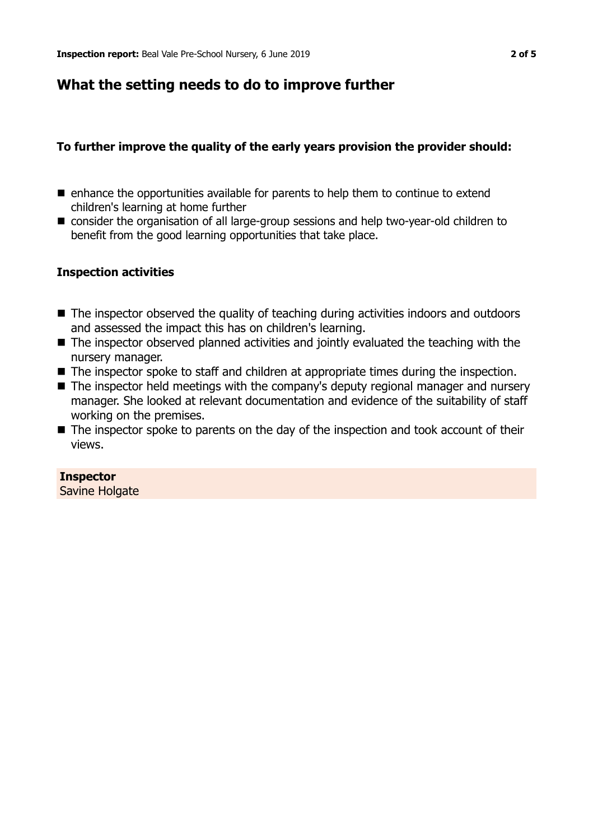## **What the setting needs to do to improve further**

## **To further improve the quality of the early years provision the provider should:**

- $\blacksquare$  enhance the opportunities available for parents to help them to continue to extend children's learning at home further
- consider the organisation of all large-group sessions and help two-year-old children to benefit from the good learning opportunities that take place.

#### **Inspection activities**

- The inspector observed the quality of teaching during activities indoors and outdoors and assessed the impact this has on children's learning.
- $\blacksquare$  The inspector observed planned activities and jointly evaluated the teaching with the nursery manager.
- $\blacksquare$  The inspector spoke to staff and children at appropriate times during the inspection.
- The inspector held meetings with the company's deputy regional manager and nursery manager. She looked at relevant documentation and evidence of the suitability of staff working on the premises.
- $\blacksquare$  The inspector spoke to parents on the day of the inspection and took account of their views.

## **Inspector**

Savine Holgate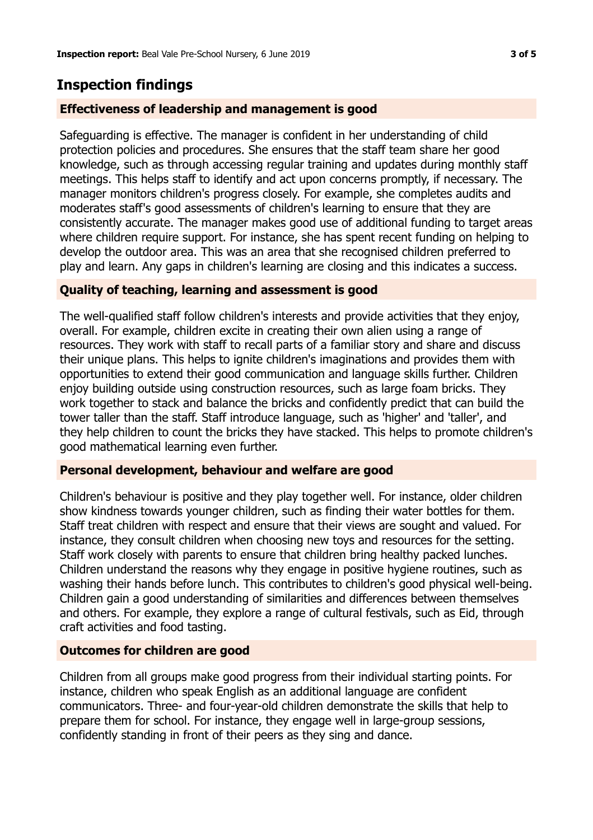# **Inspection findings**

## **Effectiveness of leadership and management is good**

Safeguarding is effective. The manager is confident in her understanding of child protection policies and procedures. She ensures that the staff team share her good knowledge, such as through accessing regular training and updates during monthly staff meetings. This helps staff to identify and act upon concerns promptly, if necessary. The manager monitors children's progress closely. For example, she completes audits and moderates staff's good assessments of children's learning to ensure that they are consistently accurate. The manager makes good use of additional funding to target areas where children require support. For instance, she has spent recent funding on helping to develop the outdoor area. This was an area that she recognised children preferred to play and learn. Any gaps in children's learning are closing and this indicates a success.

## **Quality of teaching, learning and assessment is good**

The well-qualified staff follow children's interests and provide activities that they enjoy, overall. For example, children excite in creating their own alien using a range of resources. They work with staff to recall parts of a familiar story and share and discuss their unique plans. This helps to ignite children's imaginations and provides them with opportunities to extend their good communication and language skills further. Children enjoy building outside using construction resources, such as large foam bricks. They work together to stack and balance the bricks and confidently predict that can build the tower taller than the staff. Staff introduce language, such as 'higher' and 'taller', and they help children to count the bricks they have stacked. This helps to promote children's good mathematical learning even further.

#### **Personal development, behaviour and welfare are good**

Children's behaviour is positive and they play together well. For instance, older children show kindness towards younger children, such as finding their water bottles for them. Staff treat children with respect and ensure that their views are sought and valued. For instance, they consult children when choosing new toys and resources for the setting. Staff work closely with parents to ensure that children bring healthy packed lunches. Children understand the reasons why they engage in positive hygiene routines, such as washing their hands before lunch. This contributes to children's good physical well-being. Children gain a good understanding of similarities and differences between themselves and others. For example, they explore a range of cultural festivals, such as Eid, through craft activities and food tasting.

## **Outcomes for children are good**

Children from all groups make good progress from their individual starting points. For instance, children who speak English as an additional language are confident communicators. Three- and four-year-old children demonstrate the skills that help to prepare them for school. For instance, they engage well in large-group sessions, confidently standing in front of their peers as they sing and dance.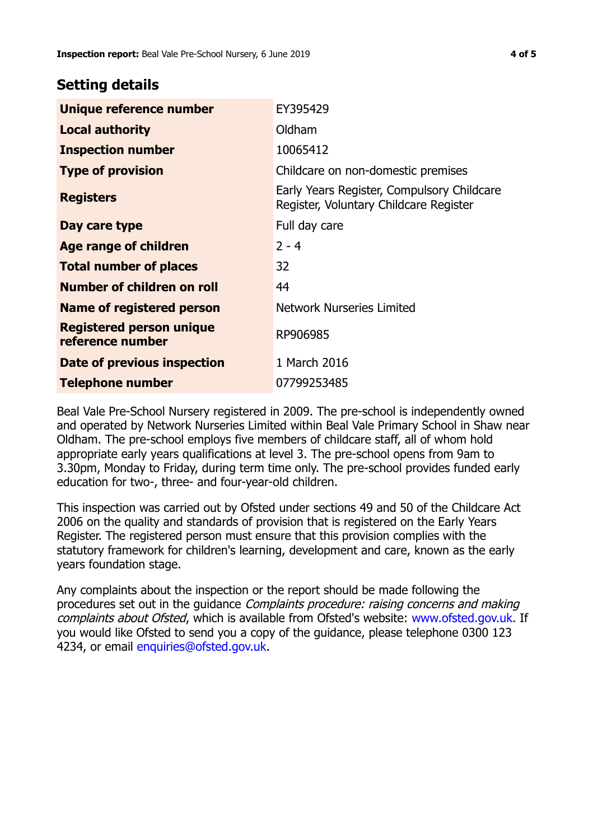## **Setting details**

| Unique reference number                             | EY395429                                                                             |
|-----------------------------------------------------|--------------------------------------------------------------------------------------|
| <b>Local authority</b>                              | Oldham                                                                               |
| <b>Inspection number</b>                            | 10065412                                                                             |
| <b>Type of provision</b>                            | Childcare on non-domestic premises                                                   |
| <b>Registers</b>                                    | Early Years Register, Compulsory Childcare<br>Register, Voluntary Childcare Register |
| Day care type                                       | Full day care                                                                        |
| Age range of children                               | $2 - 4$                                                                              |
| <b>Total number of places</b>                       | 32                                                                                   |
| Number of children on roll                          | 44                                                                                   |
| Name of registered person                           | <b>Network Nurseries Limited</b>                                                     |
| <b>Registered person unique</b><br>reference number | RP906985                                                                             |
| Date of previous inspection                         | 1 March 2016                                                                         |
| <b>Telephone number</b>                             | 07799253485                                                                          |

Beal Vale Pre-School Nursery registered in 2009. The pre-school is independently owned and operated by Network Nurseries Limited within Beal Vale Primary School in Shaw near Oldham. The pre-school employs five members of childcare staff, all of whom hold appropriate early years qualifications at level 3. The pre-school opens from 9am to 3.30pm, Monday to Friday, during term time only. The pre-school provides funded early education for two-, three- and four-year-old children.

This inspection was carried out by Ofsted under sections 49 and 50 of the Childcare Act 2006 on the quality and standards of provision that is registered on the Early Years Register. The registered person must ensure that this provision complies with the statutory framework for children's learning, development and care, known as the early years foundation stage.

Any complaints about the inspection or the report should be made following the procedures set out in the guidance Complaints procedure: raising concerns and making complaints about Ofsted, which is available from Ofsted's website: www.ofsted.gov.uk. If you would like Ofsted to send you a copy of the guidance, please telephone 0300 123 4234, or email [enquiries@ofsted.gov.uk.](mailto:enquiries@ofsted.gov.uk)